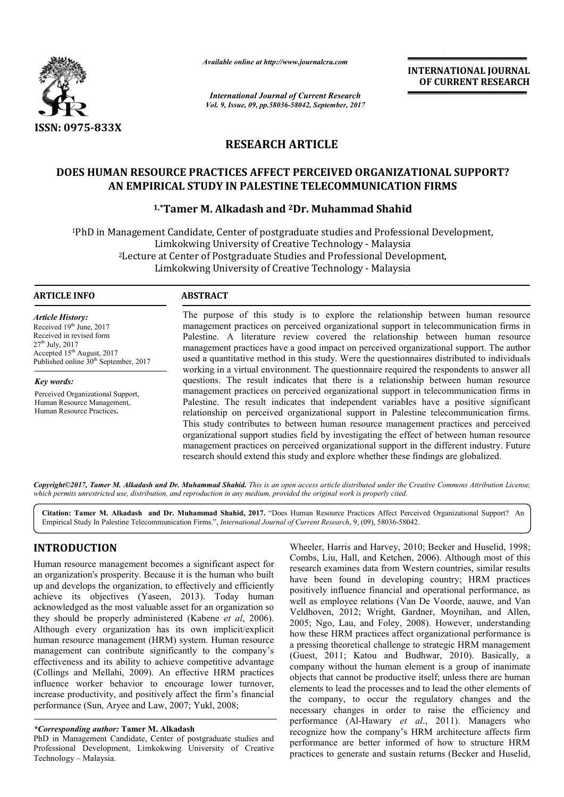

*Available online at http://www.journal http://www.journalcra.com*

*International Journal of Current Research Vol. 9, Issue, 09, pp.58036-58042, September, 2017* **INTERNATIONAL JOURNAL OF CURRENT RESEARCH** 

## **RESEARCH ARTICLE**

# **DOES HUMAN RESOURCE PRACTICES AFFECT PERCEIVED ORGANIZATIONAL SUPPORT? AN EMPIRICAL STUDY IN PALESTINE TELECOMMUNICATION FIRMS DOES HUMAN RESOURCE PRACTICES AFFECT PERCEIVED ORGANIZATIONAL :<br>AN EMPIRICAL STUDY IN PALESTINE TELECOMMUNICATION FIRMS<br><sup>1,\*</sup>Tamer M. Alkadash and <sup>2</sup>Dr. Muhammad Shahid**

## <sup>1,</sup>\*Tamer M. Alkadash and <sup>2</sup>Dr. Muhammad Shahid

<sup>1</sup>PhD in Management Candidate, Center of postgraduate studies and Professional Development, Limkokwing University of Creative Technology - Malaysia <sup>2</sup>Lecture at Center of Postgraduate Studies and Professional Development, Limkokwing University of Creative Technology - Malaysia

#### **ARTICLE INFO ABSTRACT**

*Article History:* Received 19<sup>th</sup> June, 2017 Received in revised form  $27<sup>th</sup>$  July,  $2017$ Accepted 15<sup>th</sup> August, 2017 Published online 30<sup>th</sup> September, 2017

*Key words:* Perceived Organizational Support, Human Resource Management, Human Resource Practices**.**

The purpose of this study is to explore the relationship between human resource management practices on perceived organizational support in telecommunication firms in Palestine. A literature review covered the relationship between human resource management practices have a good impact on perceived organizational support. The author used a quantitative method in this study. Were the questionnaires distributed to individuals working in a virtual environment. The questionnaire required the respondents to answe questions. The result indicates that there is a relationship between human resource management practices on perceived organizational support in telecommunication firms in questions. The result indicates that there is a relationship between human resource management practices on perceived organizational support in telecommunication firms in Palestine. The result indicates that independent va relationship on perceived organizational support in Palestine telecommunication firms. This study contributes to between human resource management practices and perceived organizational support studies field by investigating the effect of between h management practices on perceived organizational support in the different industry. Future management practices on perceived organizational support in the different industry.<br>research should extend this study and explore whether these findings are globalized. The purpose of this study is to explore the relationship between human resource management practices on perceived organizational support in telecommunication firms in Palestine. A literature review covered the relationship or perceived organizational support in Palestine telecommunication firms.<br>contributes to between human resource management practices and perceived<br>al support studies field by investigating the effect of between human resou

Copyright©2017, Tamer M. Alkadash and Dr. Muhammad Shahid. This is an open access article distributed under the Creative Commons Attribution License, which permits unrestricted use, distribution, and reproduction in any medium, provided the original work is properly cited.

Citation: Tamer M. Alkadash and Dr. Muhammad Shahid, 2017. "Does Human Resource Practices Affect Perceived Organizational Support? An<br>Empirical Study In Palestine Telecommunication Firms.", *International Journal of Curren* Empirical Study In Palestine Telecommunication Firms.", *International Journal of Current Research*, 9, (09), 58036-58042

## **INTRODUCTION**

Human resource management becomes a significant aspect for an organization's prosperity. Because it is the human who built up and develops the organization, to effectively and efficiently achieve its objectives (Yaseen, 2013). Today human . acknowledged as the most valuable asset for an organization so they should be properly administered (Kabene *et al*, 2006). Although every organization has its own implicit/explicit human resource management (HRM) system. Human resource management can contribute significantly to the company's effectiveness and its ability to achieve competitive advantage (Collings and Mellahi, 2009). An effective HRM practices influence worker behavior to encourage lower turnover, increase productivity, and positively affect the firm's financial performance (Sun, Aryee and Law, 2007; Yukl, 2008;

#### *\*Corresponding author:* **Tamer M. Alkadash**

PhD in Management Candidate, Center of postgraduate studies and Professional Development, Limkokwing University of Creative Technology – Malaysia.

Wheeler, Harris and Harvey, 2010; Becker and Huselid, 1998; Wheeler, Harris and Harvey, 2010; Becker and Huselid, 1998; Combs, Liu, Hall, and Ketchen, 2006). Although most of this research examines data from Western countries, similar results have been found in developing country; HRM practices positively influence financial and operational performance, as research examines data from Western countries, similar results<br>have been found in developing country; HRM practices<br>positively influence financial and operational performance, as<br>well as employee relations (Van De Voorde, Veldhoven, 2012; Wright, Gardner, Moynihan, and Allen, 2005; Ngo, Lau, and Foley, 2008). However, understanding how these HRM practices affect organizational performance is a pressing theoretical challenge to strategic HRM management (Guest, 2011; Katou and Budhwar, 2010). Basically, a company without the human element is a group of inanimate objects that cannot be productive itself; unless there are human elements to lead the processes and to lead the other elements of the company, to occur the regulatory changes and the necessary changes in order to raise the efficiency and necessary changes in order to raise the efficiency and performance (Al-Hawary *et al.*, 2011). Managers who recognize how the company's HRM architecture affects firm performance are better informed of how to structure HRM practices to generate and sustain returns (Becker Veldhoven, 2012; Wright, Gardner, Moynihan, and Allen, 2005; Ngo, Lau, and Foley, 2008). However, understanding how these HRM practices affect organizational performance is a pressing theoretical challenge to strategic HRM that cannot be productive itself; unless there are human<br>is to lead the processes and to lead the other elements of<br>mpany, to occur the regulatory changes and the w the company's HRM architecture affects firm<br>are better informed of how to structure HRM<br>enerate and sustain returns (Becker and Huselid,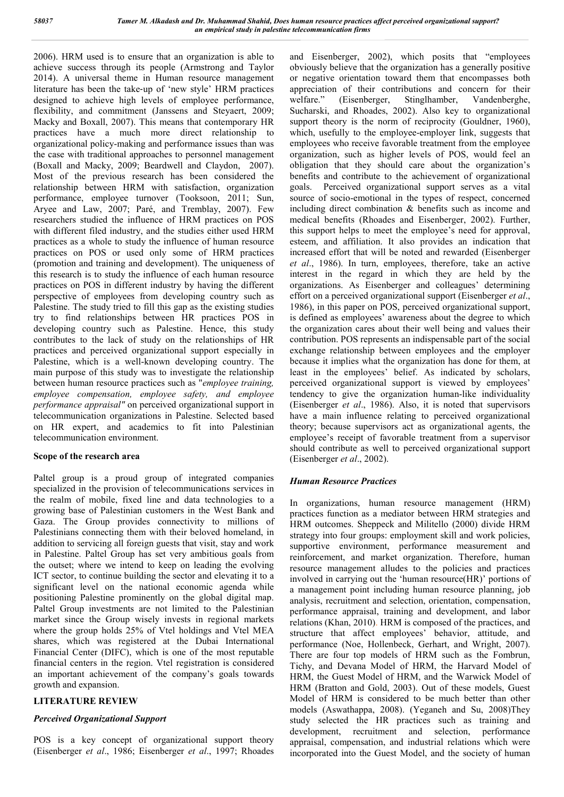2006). HRM used is to ensure that an organization is able to achieve success through its people (Armstrong and Taylor 2014). A universal theme in Human resource management literature has been the take‐up of 'new style' HRM practices designed to achieve high levels of employee performance, flexibility, and commitment (Janssens and Steyaert, 2009; Macky and Boxall, 2007). This means that contemporary HR practices have a much more direct relationship to organizational policy-making and performance issues than was the case with traditional approaches to personnel management (Boxall and Macky, 2009; Beardwell and Claydon, 2007). Most of the previous research has been considered the relationship between HRM with satisfaction, organization performance, employee turnover (Tooksoon, 2011; Sun, Aryee and Law, 2007; Paré, and Tremblay, 2007). Few researchers studied the influence of HRM practices on POS with different filed industry, and the studies either used HRM practices as a whole to study the influence of human resource practices on POS or used only some of HRM practices (promotion and training and development). The uniqueness of this research is to study the influence of each human resource practices on POS in different industry by having the different perspective of employees from developing country such as Palestine. The study tried to fill this gap as the existing studies try to find relationships between HR practices POS in developing country such as Palestine. Hence, this study contributes to the lack of study on the relationships of HR practices and perceived organizational support especially in Palestine, which is a well-known developing country. The main purpose of this study was to investigate the relationship between human resource practices such as "*employee training, employee compensation, employee safety, and employee performance appraisal"* on perceived organizational support in telecommunication organizations in Palestine. Selected based on HR expert, and academics to fit into Palestinian telecommunication environment.

#### **Scope of the research area**

Paltel group is a proud group of integrated companies specialized in the provision of telecommunications services in the realm of mobile, fixed line and data technologies to a growing base of Palestinian customers in the West Bank and Gaza. The Group provides connectivity to millions of Palestinians connecting them with their beloved homeland, in addition to servicing all foreign guests that visit, stay and work in Palestine. Paltel Group has set very ambitious goals from the outset; where we intend to keep on leading the evolving ICT sector, to continue building the sector and elevating it to a significant level on the national economic agenda while positioning Palestine prominently on the global digital map. Paltel Group investments are not limited to the Palestinian market since the Group wisely invests in regional markets where the group holds 25% of Vtel holdings and Vtel MEA shares, which was registered at the Dubai International Financial Center (DIFC), which is one of the most reputable financial centers in the region. Vtel registration is considered an important achievement of the company's goals towards growth and expansion.

#### **LITERATURE REVIEW**

#### *Perceived Organizational Support*

POS is a key concept of organizational support theory (Eisenberger *et al*., 1986; Eisenberger *et al*., 1997; Rhoades and Eisenberger, 2002), which posits that "employees obviously believe that the organization has a generally positive or negative orientation toward them that encompasses both appreciation of their contributions and concern for their welfare." (Eisenberger, Stinglhamber, Vandenberghe, Sucharski, and Rhoades, 2002). Also key to organizational support theory is the norm of reciprocity (Gouldner, 1960), which, usefully to the employee-employer link, suggests that employees who receive favorable treatment from the employee organization, such as higher levels of POS, would feel an obligation that they should care about the organization's benefits and contribute to the achievement of organizational goals. Perceived organizational support serves as a vital source of socio-emotional in the types of respect, concerned including direct combination & benefits such as income and medical benefits (Rhoades and Eisenberger, 2002). Further, this support helps to meet the employee's need for approval, esteem, and affiliation. It also provides an indication that increased effort that will be noted and rewarded (Eisenberger *et al*., 1986). In turn, employees, therefore, take an active interest in the regard in which they are held by the organizations. As Eisenberger and colleagues' determining effort on a perceived organizational support (Eisenberger *et al*., 1986), in this paper on POS, perceived organizational support, is defined as employees' awareness about the degree to which the organization cares about their well being and values their contribution. POS represents an indispensable part of the social exchange relationship between employees and the employer because it implies what the organization has done for them, at least in the employees' belief. As indicated by scholars, perceived organizational support is viewed by employees' tendency to give the organization human-like individuality (Eisenberger *et al*., 1986). Also, it is noted that supervisors have a main influence relating to perceived organizational theory; because supervisors act as organizational agents, the employee's receipt of favorable treatment from a supervisor should contribute as well to perceived organizational support (Eisenberger *et al*., 2002).

#### *Human Resource Practices*

In organizations, human resource management (HRM) practices function as a mediator between HRM strategies and HRM outcomes. Sheppeck and Militello (2000) divide HRM strategy into four groups: employment skill and work policies, supportive environment, performance measurement and reinforcement, and market organization. Therefore, human resource management alludes to the policies and practices involved in carrying out the 'human resource(HR)' portions of a management point including human resource planning, job analysis, recruitment and selection, orientation, compensation, performance appraisal, training and development, and labor relations (Khan, 2010). HRM is composed of the practices, and structure that affect employees' behavior, attitude, and performance (Noe, Hollenbeck, Gerhart, and Wright, 2007). There are four top models of HRM such as the Fombrun, Tichy, and Devana Model of HRM, the Harvard Model of HRM, the Guest Model of HRM, and the Warwick Model of HRM (Bratton and Gold, 2003). Out of these models, Guest Model of HRM is considered to be much better than other models (Aswathappa, 2008). (Yeganeh and Su, 2008)They study selected the HR practices such as training and development, recruitment and selection, performance appraisal, compensation, and industrial relations which were incorporated into the Guest Model, and the society of human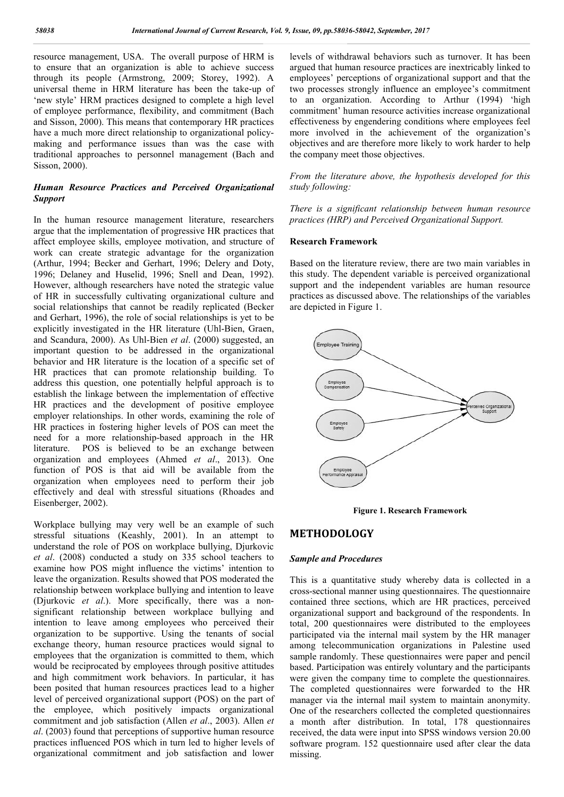resource management, USA. The overall purpose of HRM is to ensure that an organization is able to achieve success through its people (Armstrong, 2009; Stor Storey, 1992). A universal theme in HRM literature has been the take ‐up of 'new style' HRM practices designed to complete a high level of employee performance, flexibility, and commitment (Bach and Sisson, 2000). This means that contemporary HR practices have a much more direct relationship to organizational policymaking and performance issues than was the case with traditional approaches to personnel management (Bach and Sisson, 2000).

#### *Human Resource Practices and Perceived Organizational Support*

In the human resource management literature, researchers argue that the implementation of progressive HR practices that affect employee skills, employee motivation, and structure of work can create strategic advantage for the organization (Arthur, 1994; Becker and Gerhart, 1996; Delery and Doty, 1996; Delaney and Huselid, 1996; Snell and Dean, 1992). However, although researchers have noted the strategic value of HR in successfully cultivating organizational culture and social relationships that cannot be readily replicated (Becker and Gerhart, 1996), the role of social relationships is yet to be explicitly investigated in the HR literature (Uhl-Bien, Graen, and Scandura, 2000). As Uhl-Bien *et al*. (2000) suggested, an important question to be addressed in the organizational behavior and HR literature is the location of a specific set of HR practices that can promote relationship building. To address this question, one potentially helpful approach is to establish the linkage between the implementation of effective HR practices and the development of positive employee employer relationships. In other words, examining the role of HR practices in fostering higher levels of POS can meet the need for a more relationship-based approach in the HR literature. POS is believed to be an exchange between need for a more relationship-based approach in the HR<br>literature. POS is believed to be an exchange between<br>organization and employees (Ahmed *et al.*, 2013). One function of POS is that aid will be available from the organization when employees need to perform their job effectively and deal with stressful situations (Rhoades and Eisenberger, 2002). cker and Gerhart, 1996; Delery and Doty,<br>d Huselid, 1996; Snell and Dean, 1992).<br>1 researchers have noted the strategic value<br>fully cultivating organizational culture and<br>s that cannot be readily replicated (Becker<br>1, the

Workplace bullying may very well be an example of such stressful situations (Keashly, 2001). In an attempt to understand the role of POS on workplace bullying, Djurkovic *et al*. (2008) conducted a study on 335 school teachers to examine how POS might influence the victims' intention to leave the organization. Results showed that POS moderated the relationship between workplace bullying and intention to leave (Djurkovic et al.). More specifically, there was a nonsignificant relationship between workplace bullying and intention to leave among employees who perceived their organization to be supportive. Using the tenants of social exchange theory, human resource practices would signal to employees that the organization is committed to them, which would be reciprocated by employees through positive attitudes and high commitment work behaviors. In particular, it has been posited that human resources practices lead to a higher level of perceived organizational support (POS) on the pa the employee, which positively impacts organizational commitment and job satisfaction (Allen *et al* ., 2003). Allen *et al*. (2003) found that perceptions of supportive human resource practices influenced POS which in turn led to higher levels of organizational commitment and job satisfaction and lower lationship between workplace bullying and<br>eave among employees who perceived their<br>o be supportive. Using the tenants of social<br>orry, human resource practices would signal to<br>t the organization is committed to them, which<br> levels of withdrawal behaviors such as turnover. It has been levels of withdrawal behaviors such as turnover. It has been argued that human resource practices are inextricably linked to employees' perceptions of organizational support and that the two processes strongly influence an employee's commitment to an organization. According to Arthur (1994) 'high commitment' human resource activities increase organizational effectiveness by engendering conditions where employees feel effectiveness by engendering conditions where employees feel more involved in the achievement of the organization's objectives and are therefore more likely to work harder to help the company meet those objectives. two processes strongly influence an employee's commitment<br>to an organization. According to Arthur (1994) 'high<br>commitment' human resource activities increase organizational

*From the literature above, the hypothesis developed for this study following:*

*There is a significant relationship between human resource practices (HRP) and Perceived Organizational Support. literature above, the hypothesis developed for this*<br>*pwing:*<br>*a significant relationship between human resource*<br>(HRP) and Perceived Organizational Support.

#### **Research Framework**

Based on the literature review, there are two main variables in this study. The dependent variable is perceived organizational this study. The dependent variable is perceived organizational support and the independent variables are human resource practices as discussed above. The relationships of the variables are depicted in Figure 1.



**Figure 1. Research Framework**

### **METHODOLOGY**

#### *Sample and Procedures*

This is a quantitative study whereby data is collected in a cross-sectional manner using questionnaires. The questionnaire contained three sections, which are HR practices, perceived organizational support and background of the respondents. In total, 200 questionnaires were distributed to the employees participated via the internal mail system by the HR manager among telecommunication organizations in Palestine used total, 200 questionnaires were distributed to the employees participated via the internal mail system by the HR manager among telecommunication organizations in Palestine used sample randomly. These questionnaires were pap based. Participation was entirely voluntary and the participants were given the company time to complete the questionnaires. The completed questionnaires were forwarded to the HR manager via the internal mail system to maintain anonymity. One of the researchers collected the completed questionnaires a month after distribution. In total, 178 questionnaires received, the data were input into SPSS windows version 20.00 software program. 152 questionnaire used after clear the data missing. is a quantitative study whereby data is collected in a sectional manner using questionnaires. The questionnaire ined three sections, which are HR practices, perceived izational support and background of the respondents. In re given the company time to complete the questionnaires.<br>
e completed questionnaires were forwarded to the HR<br>
nager via the internal mail system to maintain anonymity.<br>
e of the researchers collected the completed questi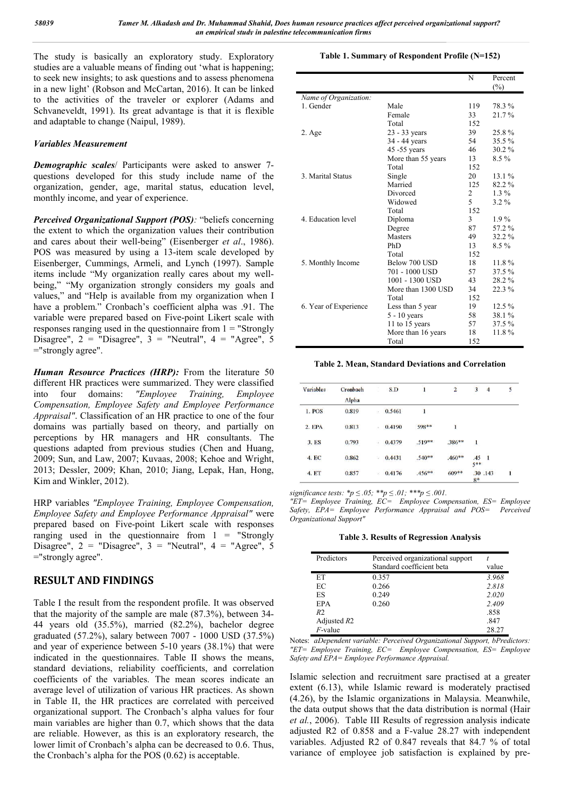The study is basically an exploratory study. Exploratory studies are a valuable means of finding out 'what is happening; to seek new insights; to ask questions and to assess phenomena in a new light' (Robson and McCartan, 2016). It can be linked to the activities of the traveler or explorer (Adams and Schvaneveldt, 1991). Its great advantage is that it is flexible and adaptable to change (Naipul, 1989).

#### *Variables Measurement*

*Demographic scales*/ Participants were asked to answer 7 questions developed for this study include name of the organization, gender, age, marital status, education level, monthly income, and year of experience.

*Perceived Organizational Support (POS):* "beliefs concerning the extent to which the organization values their contribution and cares about their well-being" (Eisenberger *et al*., 1986). POS was measured by using a 13-item scale developed by Eisenberger, Cummings, Armeli, and Lynch (1997). Sample items include "My organization really cares about my wellbeing," "My organization strongly considers my goals and values," and "Help is available from my organization when I have a problem." Cronbach's coefficient alpha was .91. The variable were prepared based on Five-point Likert scale with responses ranging used in the questionnaire from  $1 =$  "Strongly Disagree",  $2 =$  "Disagree",  $3 =$  "Neutral",  $4 =$  "Agree", 5 ="strongly agree".

*Human Resource Practices (HRP):* From the literature 50 different HR practices were summarized. They were classified<br>into four domains: "Employee Training, Employee into four domains: *"Employee Training, Employee Compensation, Employee Safety and Employee Performance Appraisal"*. Classification of an HR practice to one of the four domains was partially based on theory, and partially on perceptions by HR managers and HR consultants. The questions adapted from previous studies (Chen and Huang, 2009; Sun, and Law, 2007; Kuvaas, 2008; Kehoe and Wright, 2013; Dessler, 2009; Khan, 2010; Jiang, Lepak, Han, Hong, Kim and Winkler, 2012).

HRP variables *"Employee Training, Employee Compensation, Employee Safety and Employee Performance Appraisal"* were prepared based on Five-point Likert scale with responses ranging used in the questionnaire from  $1 =$  "Strongly Disagree",  $2 =$  "Disagree",  $3 =$  "Neutral",  $4 =$  "Agree",  $5$ ="strongly agree".

## **RESULT AND FINDINGS**

Table I the result from the respondent profile. It was observed that the majority of the sample are male (87.3%), between 34- 44 years old (35.5%), married (82.2%), bachelor degree graduated (57.2%), salary between 7007 - 1000 USD (37.5%) and year of experience between 5-10 years (38.1%) that were indicated in the questionnaires. Table II shows the means, standard deviations, reliability coefficients, and correlation coefficients of the variables. The mean scores indicate an average level of utilization of various HR practices. As shown in Table II, the HR practices are correlated with perceived organizational support. The Cronbach's alpha values for four main variables are higher than 0.7, which shows that the data are reliable. However, as this is an exploratory research, the lower limit of Cronbach's alpha can be decreased to 0.6. Thus, the Cronbach's alpha for the POS (0.62) is acceptable.

#### **Table 1. Summary of Respondent Profile (N=152)**

|                       |                    | N   | Percent  |
|-----------------------|--------------------|-----|----------|
|                       |                    |     | $(\%)$   |
| Name of Organization: |                    |     |          |
| 1. Gender             | Male               | 119 | 78.3%    |
|                       | Female             | 33  | 21.7%    |
|                       | Total              | 152 |          |
| 2. Age                | 23 - 33 years      | 39  | 25.8%    |
|                       | 34 - 44 years      | 54  | 35.5%    |
|                       | 45 -55 years       | 46  | $30.2\%$ |
|                       | More than 55 years | 13  | $8.5\%$  |
|                       | Total              | 152 |          |
| 3. Marital Status     | Single             | 20  | 13.1%    |
|                       | Married            | 125 | 82.2%    |
|                       | Divorced           | 2   | $1.3\%$  |
|                       | Widowed            | 5   | $3.2\%$  |
|                       | Total              | 152 |          |
| 4. Education level    | Diploma            | 3   | $1.9\%$  |
|                       | Degree             | 87  | 57.2%    |
|                       | <b>Masters</b>     | 49  | 32.2%    |
|                       | PhD                | 13  | 8.5 %    |
|                       | Total              | 152 |          |
| 5. Monthly Income     | Below 700 USD      | 18  | 11.8%    |
|                       | 701 - 1000 USD     | 57  | 37.5%    |
|                       | 1001 - 1300 USD    | 43  | 28.2%    |
|                       | More than 1300 USD | 34  | 22.3%    |
|                       | Total              | 152 |          |
| 6. Year of Experience | Less than 5 year   | 19  | $12.5\%$ |
|                       | $5 - 10$ years     | 58  | 38.1%    |
|                       | 11 to 15 years     | 57  | 37.5%    |
|                       | More than 16 years | 18  | 11.8%    |
|                       | Total              | 152 |          |

#### **Table 2. Mean, Standard Deviations and Correlation**

| Variables    | Cronbach<br><b>Alpha</b> | ٠              | S.D    | $\mathbf{1}$ | $\overline{2}$ | 3            | $\overline{4}$ | 5 |
|--------------|--------------------------|----------------|--------|--------------|----------------|--------------|----------------|---|
| 1. POS       | 0.819                    | œ.             | 0.5461 | 1            |                |              |                |   |
| $2.$ EPA     | 0.813                    | $\mathbb{R}^3$ | 0.4190 | 598**        | $\bf{l}$       |              |                |   |
| 3. ES        | 0.793                    | W.             | 0.4379 | $.519**$     | .386**         | $\mathbf{I}$ |                |   |
| 4. EC        | 0.862                    | 影              | 0.4431 | $.540**$     | $.460**$       | .45<br>5**   | $\mathbf{I}$   |   |
| <b>4. ET</b> | 0.857                    | ŵ.             | 0.4176 | $.456***$    | $609**$        | $8*$         | .30 .143       | 1 |

*significance tests: \*p ≤ .05; \*\*p ≤ .01; \*\*\*p ≤ .001.* 

*"ET= Employee Training, EC= Employee Compensation, ES= Employee Safety, EPA= Employee Performance Appraisal and POS= Perceived Organizational Support"*

**Table 3. Results of Regression Analysis**

| Predictors     | Perceived organizational support<br>Standard coefficient beta | value |
|----------------|---------------------------------------------------------------|-------|
| ET             | 0.357                                                         | 3.968 |
| EC             | 0.266                                                         | 2.818 |
| ES             | 0.249                                                         | 2.020 |
| EPA            | 0.260                                                         | 2.409 |
| R <sub>2</sub> |                                                               | .858  |
| Adjusted $R2$  |                                                               | .847  |
| $F$ -value     |                                                               | 28.27 |

Notes: *aDependent variable: Perceived Organizational Support, bPredictors: "ET= Employee Training, EC= Employee Compensation, ES= Employee Safety and EPA= Employee Performance Appraisal.*

Islamic selection and recruitment sare practised at a greater extent (6.13), while Islamic reward is moderately practised (4.26), by the Islamic organizations in Malaysia. Meanwhile, the data output shows that the data distribution is normal (Hair *et al.*, 2006). Table III Results of regression analysis indicate adjusted R2 of 0.858 and a F-value 28.27 with independent variables. Adjusted R2 of 0.847 reveals that 84.7 % of total variance of employee job satisfaction is explained by pre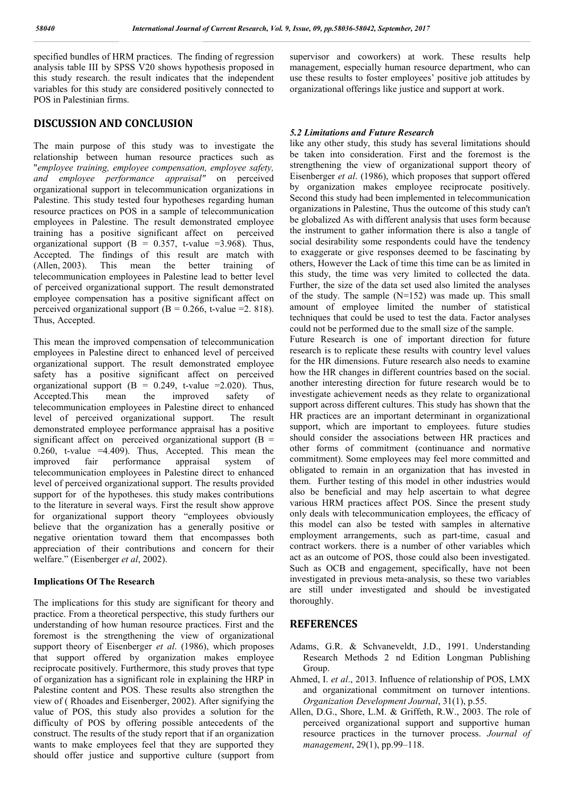specified bundles of HRM practices. The finding of regression analysis table III by SPSS V20 shows hypothesis proposed in this study research. the result indicates that the independent variables for this study are considered positively connected to POS in Palestinian firms.

### **DISCUSSION AND CONCLUSION**

The main purpose of this study was to investigate the relationship between human resource practices such as "*employee training, employee compensation, employee safety, and employee performance appraisal"* on perceived organizational support in telecommunication organizations in Palestine. This study tested four hypotheses regarding human resource practices on POS in a sample of telecommunication employees in Palestine. The result demonstrated employee training has a positive significant affect on perceived organizational support  $(B = 0.357, t-value = 3.968)$ . Thus, Accepted. The findings of this result are match with (Allen, 2003). This mean the better training of telecommunication employees in Palestine lead to better level of perceived organizational support. The result demonstrated employee compensation has a positive significant affect on perceived organizational support  $(B = 0.266, t-value = 2.818)$ . Thus, Accepted.

This mean the improved compensation of telecommunication employees in Palestine direct to enhanced level of perceived organizational support. The result demonstrated employee safety has a positive significant affect on perceived organizational support  $(B = 0.249, t-value = 2.020)$ . Thus, Accepted.This mean the improved safety of telecommunication employees in Palestine direct to enhanced level of perceived organizational support. The result demonstrated employee performance appraisal has a positive significant affect on perceived organizational support  $(B =$ 0.260, t-value =4.409). Thus, Accepted. This mean the improved fair performance appraisal system of telecommunication employees in Palestine direct to enhanced level of perceived organizational support. The results provided support for of the hypotheses. this study makes contributions to the literature in several ways. First the result show approve for organizational support theory "employees obviously believe that the organization has a generally positive or negative orientation toward them that encompasses both appreciation of their contributions and concern for their welfare." (Eisenberger *et al*, 2002).

#### **Implications Of The Research**

The implications for this study are significant for theory and practice. From a theoretical perspective, this study furthers our understanding of how human resource practices. First and the foremost is the strengthening the view of organizational support theory of Eisenberger *et al*. (1986), which proposes that support offered by organization makes employee reciprocate positively. Furthermore, this study proves that type of organization has a significant role in explaining the HRP in Palestine content and POS. These results also strengthen the view of ( Rhoades and Eisenberger, 2002). After signifying the value of POS, this study also provides a solution for the difficulty of POS by offering possible antecedents of the construct. The results of the study report that if an organization wants to make employees feel that they are supported they should offer justice and supportive culture (support from supervisor and coworkers) at work. These results help management, especially human resource department, who can use these results to foster employees' positive job attitudes by organizational offerings like justice and support at work.

#### *5.2 Limitations and Future Research*

like any other study, this study has several limitations should be taken into consideration. First and the foremost is the strengthening the view of organizational support theory of Eisenberger *et al*. (1986), which proposes that support offered by organization makes employee reciprocate positively. Second this study had been implemented in telecommunication organizations in Palestine, Thus the outcome of this study can't be globalized As with different analysis that uses form because the instrument to gather information there is also a tangle of social desirability some respondents could have the tendency to exaggerate or give responses deemed to be fascinating by others, However the Lack of time this time can be as limited in this study, the time was very limited to collected the data. Further, the size of the data set used also limited the analyses of the study. The sample  $(N=152)$  was made up. This small amount of employee limited the number of statistical techniques that could be used to test the data. Factor analyses could not be performed due to the small size of the sample.

Future Research is one of important direction for future research is to replicate these results with country level values for the HR dimensions. Future research also needs to examine how the HR changes in different countries based on the social. another interesting direction for future research would be to investigate achievement needs as they relate to organizational support across different cultures. This study has shown that the HR practices are an important determinant in organizational support, which are important to employees. future studies should consider the associations between HR practices and other forms of commitment (continuance and normative commitment). Some employees may feel more committed and obligated to remain in an organization that has invested in them. Further testing of this model in other industries would also be beneficial and may help ascertain to what degree various HRM practices affect POS. Since the present study only deals with telecommunication employees, the efficacy of this model can also be tested with samples in alternative employment arrangements, such as part-time, casual and contract workers. there is a number of other variables which act as an outcome of POS, those could also been investigated. Such as OCB and engagement, specifically, have not been investigated in previous meta-analysis, so these two variables are still under investigated and should be investigated thoroughly.

#### **REFERENCES**

- Adams, G.R. & Schvaneveldt, J.D., 1991. Understanding Research Methods 2 nd Edition Longman Publishing Group.
- Ahmed, I. *et al*., 2013. Influence of relationship of POS, LMX and organizational commitment on turnover intentions. *Organization Development Journal*, 31(1), p.55.
- Allen, D.G., Shore, L.M. & Griffeth, R.W., 2003. The role of perceived organizational support and supportive human resource practices in the turnover process. *Journal of management*, 29(1), pp.99–118.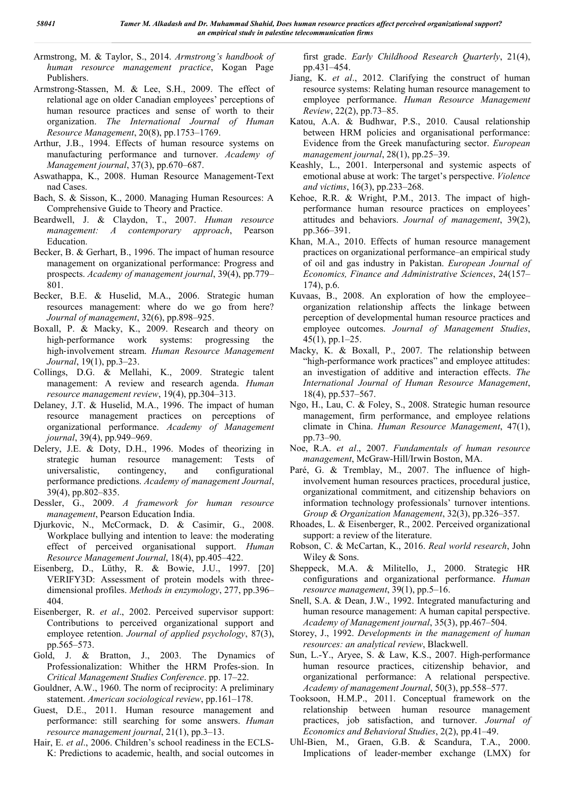- Armstrong, M. & Taylor, S., 2014. *Armstrong's handbook of human resource management practice*, Kogan Page Publishers.
- Armstrong-Stassen, M. & Lee, S.H., 2009. The effect of relational age on older Canadian employees' perceptions of human resource practices and sense of worth to their organization. *The International Journal of Human Resource Management*, 20(8), pp.1753–1769.
- Arthur, J.B., 1994. Effects of human resource systems on manufacturing performance and turnover. *Academy of Management journal*, 37(3), pp.670–687.
- Aswathappa, K., 2008. Human Resource Management-Text nad Cases.
- Bach, S. & Sisson, K., 2000. Managing Human Resources: A Comprehensive Guide to Theory and Practice.
- Beardwell, J. & Claydon, T., 2007. *Human resource management: A contemporary approach*, Pearson Education.
- Becker, B. & Gerhart, B., 1996. The impact of human resource management on organizational performance: Progress and prospects. *Academy of management journal*, 39(4), pp.779– 801.
- Becker, B.E. & Huselid, M.A., 2006. Strategic human resources management: where do we go from here? *Journal of management*, 32(6), pp.898–925.
- Boxall, P. & Macky, K., 2009. Research and theory on high-performance work systems: progressing the high‐involvement stream. *Human Resource Management Journal*, 19(1), pp.3–23.
- Collings, D.G. & Mellahi, K., 2009. Strategic talent management: A review and research agenda. *Human resource management review*, 19(4), pp.304–313.
- Delaney, J.T. & Huselid, M.A., 1996. The impact of human resource management practices on perceptions of organizational performance. *Academy of Management journal*, 39(4), pp.949–969.
- Delery, J.E. & Doty, D.H., 1996. Modes of theorizing in strategic human resource management: Tests of universalistic, contingency, and configurational performance predictions. *Academy of management Journal*, 39(4), pp.802–835.
- Dessler, G., 2009. *A framework for human resource management*, Pearson Education India.
- Djurkovic, N., McCormack, D. & Casimir, G., 2008. Workplace bullying and intention to leave: the moderating effect of perceived organisational support. *Human Resource Management Journal*, 18(4), pp.405–422.
- Eisenberg, D., Lüthy, R. & Bowie, J.U., 1997. [20] VERIFY3D: Assessment of protein models with threedimensional profiles. *Methods in enzymology*, 277, pp.396– 404.
- Eisenberger, R. *et al*., 2002. Perceived supervisor support: Contributions to perceived organizational support and employee retention. *Journal of applied psychology*, 87(3), pp.565–573.
- Gold, J. & Bratton, J., 2003. The Dynamics of Professionalization: Whither the HRM Profes-sion. In *Critical Management Studies Conference*. pp. 17–22.
- Gouldner, A.W., 1960. The norm of reciprocity: A preliminary statement. *American sociological review*, pp.161–178.
- Guest, D.E., 2011. Human resource management and performance: still searching for some answers. *Human resource management journal*, 21(1), pp.3–13.
- Hair, E. *et al*., 2006. Children's school readiness in the ECLS-K: Predictions to academic, health, and social outcomes in

first grade. *Early Childhood Research Quarterly*, 21(4), pp.431–454.

- Jiang, K. *et al*., 2012. Clarifying the construct of human resource systems: Relating human resource management to employee performance. *Human Resource Management Review*, 22(2), pp.73–85.
- Katou, A.A. & Budhwar, P.S., 2010. Causal relationship between HRM policies and organisational performance: Evidence from the Greek manufacturing sector. *European management journal*, 28(1), pp.25–39.
- Keashly, L., 2001. Interpersonal and systemic aspects of emotional abuse at work: The target's perspective. *Violence and victims*, 16(3), pp.233–268.
- Kehoe, R.R. & Wright, P.M., 2013. The impact of highperformance human resource practices on employees' attitudes and behaviors. *Journal of management*, 39(2), pp.366–391.
- Khan, M.A., 2010. Effects of human resource management practices on organizational performance–an empirical study of oil and gas industry in Pakistan. *European Journal of Economics, Finance and Administrative Sciences*, 24(157– 174), p.6.
- Kuvaas, B., 2008. An exploration of how the employee– organization relationship affects the linkage between perception of developmental human resource practices and employee outcomes. *Journal of Management Studies*, 45(1), pp.1–25.
- Macky, K. & Boxall, P., 2007. The relationship between "high-performance work practices" and employee attitudes: an investigation of additive and interaction effects. *The International Journal of Human Resource Management*, 18(4), pp.537–567.
- Ngo, H., Lau, C. & Foley, S., 2008. Strategic human resource management, firm performance, and employee relations climate in China. *Human Resource Management*, 47(1), pp.73–90.
- Noe, R.A. *et al*., 2007. *Fundamentals of human resource management*, McGraw-Hill/Irwin Boston, MA.
- Paré, G. & Tremblay, M., 2007. The influence of highinvolvement human resources practices, procedural justice, organizational commitment, and citizenship behaviors on information technology professionals' turnover intentions. *Group & Organization Management*, 32(3), pp.326–357.
- Rhoades, L. & Eisenberger, R., 2002. Perceived organizational support: a review of the literature.
- Robson, C. & McCartan, K., 2016. *Real world research*, John Wiley & Sons.
- Sheppeck, M.A. & Militello, J., 2000. Strategic HR configurations and organizational performance. *Human resource management*, 39(1), pp.5–16.
- Snell, S.A. & Dean, J.W., 1992. Integrated manufacturing and human resource management: A human capital perspective. *Academy of Management journal*, 35(3), pp.467–504.
- Storey, J., 1992. *Developments in the management of human resources: an analytical review*, Blackwell.
- Sun, L.-Y., Aryee, S. & Law, K.S., 2007. High-performance human resource practices, citizenship behavior, and organizational performance: A relational perspective. *Academy of management Journal*, 50(3), pp.558–577.
- Tooksoon, H.M.P., 2011. Conceptual framework on the relationship between human resource management practices, job satisfaction, and turnover. *Journal of Economics and Behavioral Studies*, 2(2), pp.41–49.
- Uhl-Bien, M., Graen, G.B. & Scandura, T.A., 2000. Implications of leader-member exchange (LMX) for